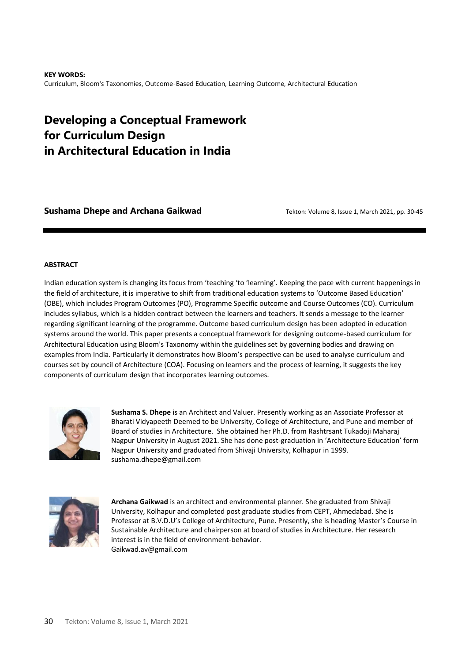**KEY WORDS:**  Curriculum, Bloom's Taxonomies, Outcome-Based Education, Learning Outcome, Architectural Education

# **Developing a Conceptual Framework for Curriculum Design in Architectural Education in India**

**Sushama Dhepe and Archana Gaikwad Tekton: Volume 8, Issue 1, March 2021, pp. 30-45 COM** 

#### **ABSTRACT**

Indian education system is changing its focus from 'teaching 'to 'learning'. Keeping the pace with current happenings in the field of architecture, it is imperative to shift from traditional education systems to 'Outcome Based Education' (OBE), which includes Program Outcomes (PO), Programme Specific outcome and Course Outcomes (CO). Curriculum includes syllabus, which is a hidden contract between the learners and teachers. It sends a message to the learner regarding significant learning of the programme. Outcome based curriculum design has been adopted in education systems around the world. This paper presents a conceptual framework for designing outcome-based curriculum for Architectural Education using Bloom's Taxonomy within the guidelines set by governing bodies and drawing on examples from India. Particularly it demonstrates how Bloom's perspective can be used to analyse curriculum and courses set by council of Architecture (COA). Focusing on learners and the process of learning, it suggests the key components of curriculum design that incorporates learning outcomes.



**Sushama S. Dhepe** is an Architect and Valuer. Presently working as an Associate Professor at Bharati Vidyapeeth Deemed to be University, College of Architecture, and Pune and member of Board of studies in Architecture. She obtained her Ph.D. from Rashtrsant Tukadoji Maharaj Nagpur University in August 2021. She has done post-graduation in 'Architecture Education' form Nagpur University and graduated from Shivaji University, Kolhapur in 1999. sushama.dhepe@gmail.com



**Archana Gaikwad** is an architect and environmental planner. She graduated from Shivaji University, Kolhapur and completed post graduate studies from CEPT, Ahmedabad. She is Professor at B.V.D.U's College of Architecture, Pune. Presently, she is heading Master's Course in Sustainable Architecture and chairperson at board of studies in Architecture. Her research interest is in the field of environment-behavior. Gaikwad.av@gmail.com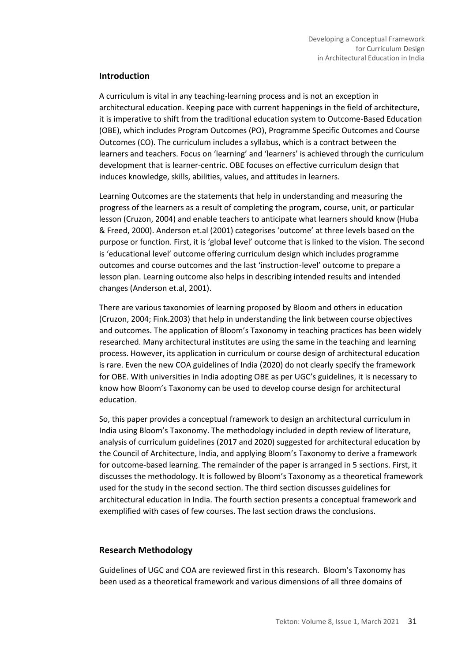#### **Introduction**

A curriculum is vital in any teaching-learning process and is not an exception in architectural education. Keeping pace with current happenings in the field of architecture, it is imperative to shift from the traditional education system to Outcome-Based Education (OBE), which includes Program Outcomes (PO), Programme Specific Outcomes and Course Outcomes (CO). The curriculum includes a syllabus, which is a contract between the learners and teachers. Focus on 'learning' and 'learners' is achieved through the curriculum development that is learner-centric. OBE focuses on effective curriculum design that induces knowledge, skills, abilities, values, and attitudes in learners.

Learning Outcomes are the statements that help in understanding and measuring the progress of the learners as a result of completing the program, course, unit, or particular lesson (Cruzon, 2004) and enable teachers to anticipate what learners should know (Huba & Freed, 2000). Anderson et.al (2001) categorises 'outcome' at three levels based on the purpose or function. First, it is 'global level' outcome that is linked to the vision. The second is 'educational level' outcome offering curriculum design which includes programme outcomes and course outcomes and the last 'instruction-level' outcome to prepare a lesson plan. Learning outcome also helps in describing intended results and intended changes (Anderson et.al, 2001).

There are various taxonomies of learning proposed by Bloom and others in education (Cruzon, 2004; Fink.2003) that help in understanding the link between course objectives and outcomes. The application of Bloom's Taxonomy in teaching practices has been widely researched. Many architectural institutes are using the same in the teaching and learning process. However, its application in curriculum or course design of architectural education is rare. Even the new COA guidelines of India (2020) do not clearly specify the framework for OBE. With universities in India adopting OBE as per UGC's guidelines, it is necessary to know how Bloom's Taxonomy can be used to develop course design for architectural education.

So, this paper provides a conceptual framework to design an architectural curriculum in India using Bloom's Taxonomy. The methodology included in depth review of literature, analysis of curriculum guidelines (2017 and 2020) suggested for architectural education by the Council of Architecture, India, and applying Bloom's Taxonomy to derive a framework for outcome-based learning. The remainder of the paper is arranged in 5 sections. First, it discusses the methodology. It is followed by Bloom's Taxonomy as a theoretical framework used for the study in the second section. The third section discusses guidelines for architectural education in India. The fourth section presents a conceptual framework and exemplified with cases of few courses. The last section draws the conclusions.

### **Research Methodology**

Guidelines of UGC and COA are reviewed first in this research. Bloom's Taxonomy has been used as a theoretical framework and various dimensions of all three domains of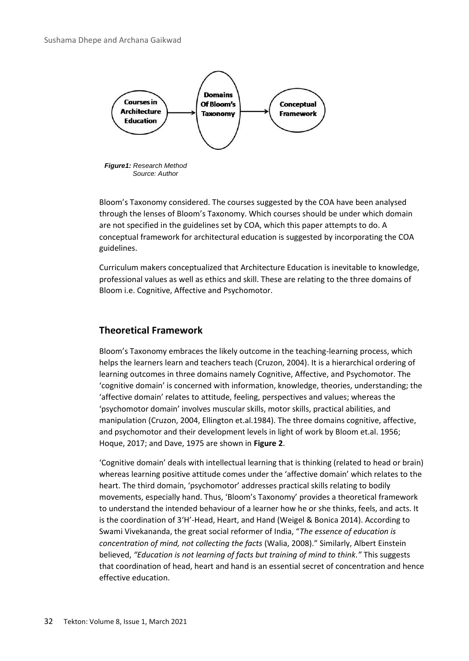

*Figure1: Research Method Source: Author*

Bloom's Taxonomy considered. The courses suggested by the COA have been analysed through the lenses of Bloom's Taxonomy. Which courses should be under which domain are not specified in the guidelines set by COA, which this paper attempts to do. A conceptual framework for architectural education is suggested by incorporating the COA guidelines.

Curriculum makers conceptualized that Architecture Education is inevitable to knowledge, professional values as well as ethics and skill. These are relating to the three domains of Bloom i.e. Cognitive, Affective and Psychomotor.

# **Theoretical Framework**

Bloom's Taxonomy embraces the likely outcome in the teaching-learning process, which helps the learners learn and teachers teach (Cruzon, 2004). It is a hierarchical ordering of learning outcomes in three domains namely Cognitive, Affective, and Psychomotor. The 'cognitive domain' is concerned with information, knowledge, theories, understanding; the 'affective domain' relates to attitude, feeling, perspectives and values; whereas the 'psychomotor domain' involves muscular skills, motor skills, practical abilities, and manipulation (Cruzon, 2004, Ellington et.al.1984). The three domains cognitive, affective, and psychomotor and their development levels in light of work by Bloom et.al. 1956; Hoque, 2017; and Dave, 1975 are shown in **Figure 2**.

'Cognitive domain' deals with intellectual learning that is thinking (related to head or brain) whereas learning positive attitude comes under the 'affective domain' which relates to the heart. The third domain, 'psychomotor' addresses practical skills relating to bodily movements, especially hand. Thus, 'Bloom's Taxonomy' provides a theoretical framework to understand the intended behaviour of a learner how he or she thinks, feels, and acts. It is the coordination of 3'H'-Head, Heart, and Hand (Weigel & Bonica 2014). According to Swami Vivekananda, the great social reformer of India, "*The essence of education is concentration of mind, not collecting the facts* (Walia, 2008)." Similarly, Albert Einstein believed, *"Education is not learning of facts but training of mind to think."* This suggests that coordination of head, heart and hand is an essential secret of concentration and hence effective education.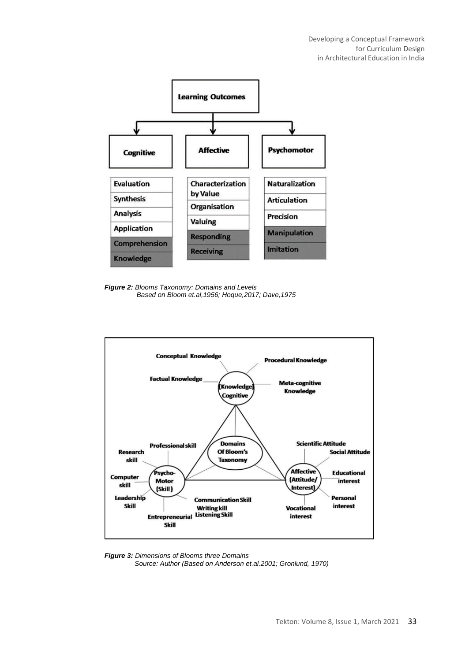

*Figure 2: Blooms Taxonomy: Domains and Levels Based on Bloom et.al,1956; Hoque,2017; Dave,1975*



*Figure 3: Dimensions of Blooms three Domains Source: Author (Based on Anderson et.al.2001; Gronlund, 1970)*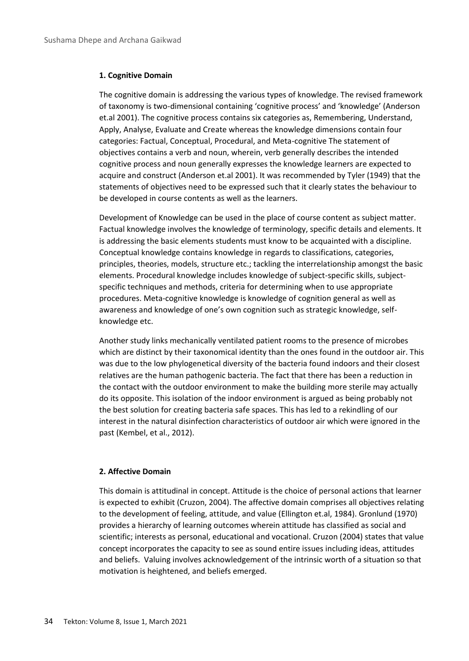#### **1. Cognitive Domain**

The cognitive domain is addressing the various types of knowledge. The revised framework of taxonomy is two-dimensional containing 'cognitive process' and 'knowledge' (Anderson et.al 2001). The cognitive process contains six categories as, Remembering, Understand, Apply, Analyse, Evaluate and Create whereas the knowledge dimensions contain four categories: Factual, Conceptual, Procedural, and Meta-cognitive The statement of objectives contains a verb and noun, wherein, verb generally describes the intended cognitive process and noun generally expresses the knowledge learners are expected to acquire and construct (Anderson et.al 2001). It was recommended by Tyler (1949) that the statements of objectives need to be expressed such that it clearly states the behaviour to be developed in course contents as well as the learners.

Development of Knowledge can be used in the place of course content as subject matter. Factual knowledge involves the knowledge of terminology, specific details and elements. It is addressing the basic elements students must know to be acquainted with a discipline. Conceptual knowledge contains knowledge in regards to classifications, categories, principles, theories, models, structure etc.; tackling the interrelationship amongst the basic elements. Procedural knowledge includes knowledge of subject-specific skills, subjectspecific techniques and methods, criteria for determining when to use appropriate procedures. Meta-cognitive knowledge is knowledge of cognition general as well as awareness and knowledge of one's own cognition such as strategic knowledge, selfknowledge etc.

Another study links mechanically ventilated patient rooms to the presence of microbes which are distinct by their taxonomical identity than the ones found in the outdoor air. This was due to the low phylogenetical diversity of the bacteria found indoors and their closest relatives are the human pathogenic bacteria. The fact that there has been a reduction in the contact with the outdoor environment to make the building more sterile may actually do its opposite. This isolation of the indoor environment is argued as being probably not the best solution for creating bacteria safe spaces. This has led to a rekindling of our interest in the natural disinfection characteristics of outdoor air which were ignored in the past (Kembel, et al., 2012).

#### **2. Affective Domain**

This domain is attitudinal in concept. Attitude is the choice of personal actions that learner is expected to exhibit (Cruzon, 2004). The affective domain comprises all objectives relating to the development of feeling, attitude, and value (Ellington et.al, 1984). Gronlund (1970) provides a hierarchy of learning outcomes wherein attitude has classified as social and scientific; interests as personal, educational and vocational. Cruzon (2004) states that value concept incorporates the capacity to see as sound entire issues including ideas, attitudes and beliefs. Valuing involves acknowledgement of the intrinsic worth of a situation so that motivation is heightened, and beliefs emerged.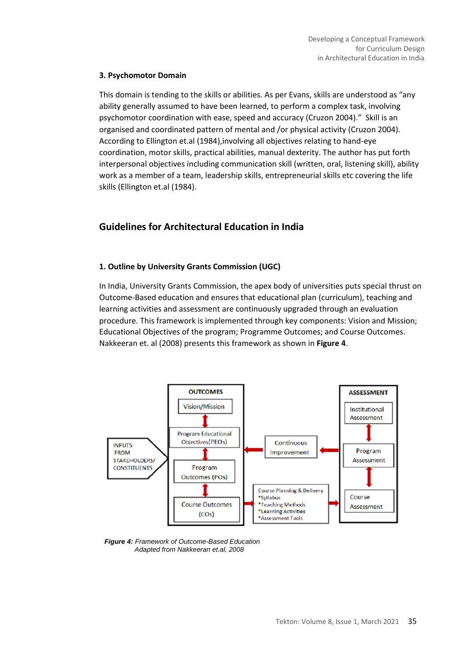#### **3. Psychomotor Domain**

This domain is tending to the skills or abilities. As per Evans, skills are understood as "any ability generally assumed to have been learned, to perform a complex task, involving psychomotor coordination with ease, speed and accuracy (Cruzon 2004)." Skill is an organised and coordinated pattern of mental and /or physical activity (Cruzon 2004). According to Ellington et.al (1984),involving all objectives relating to hand-eye coordination, motor skills, practical abilities, manual dexterity. The author has put forth interpersonal objectives including communication skill (written, oral, listening skill), ability work as a member of a team, leadership skills, entrepreneurial skills etc covering the life skills (Ellington et.al (1984).

# **Guidelines for Architectural Education in India**

# **1. Outline by University Grants Commission (UGC)**

In India, University Grants Commission, the apex body of universities puts special thrust on Outcome-Based education and ensures that educational plan (curriculum), teaching and learning activities and assessment are continuously upgraded through an evaluation procedure. This framework is implemented through key components: Vision and Mission; Educational Objectives of the program; Programme Outcomes; and Course Outcomes. Nakkeeran et. al (2008) presents this framework as shown in **Figure 4**.



*Figure 4: Framework of Outcome-Based Education Adapted from Nakkeeran et.al, 2008*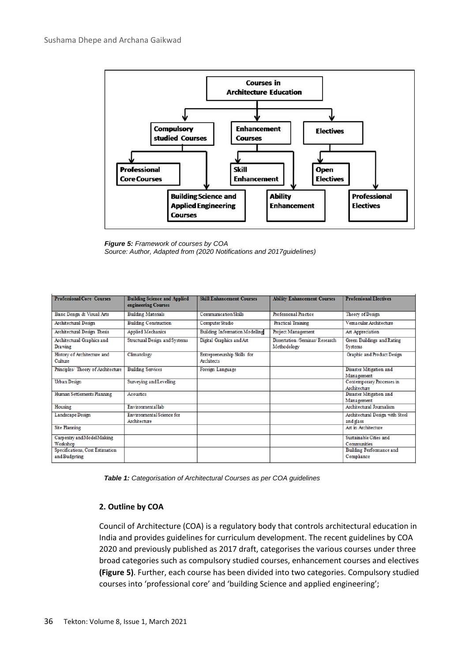

*Figure 5: Framework of courses by COA Source: Author, Adapted from (2020 Notifications and 2017guidelines)*

| <b>Professional Core Courses</b>       | <b>Building Science and Applied</b> | <b>Skill Enhancement Courses</b>      | <b>Ability Enhancement Courses</b> | <b>Professional Electives</b>     |
|----------------------------------------|-------------------------------------|---------------------------------------|------------------------------------|-----------------------------------|
|                                        | engineering Courses                 |                                       |                                    |                                   |
| Basic Design & Visual Arts             | <b>Building Materials</b>           | <b>Communication Skills</b>           | Professional Practice              | Theory of Design                  |
| <b>Architectural Design</b>            | <b>Building Construction</b>        | Computer Studio                       | <b>Practical Training</b>          | Vemacular Architecture            |
| <b>Architectural Design Thesis</b>     | <b>Applied Mechanics</b>            | <b>Building Information Modelling</b> | <b>Project Management</b>          | Art Appreciation                  |
| Architectural Graphics and             | Structural Design and Systems       | Digital Graphics and Art              | Dissertation /Seminar/Research     | <b>Green Buildings and Rating</b> |
| Drawing                                |                                     |                                       | Methodology                        | <b>Systems</b>                    |
| History of Architecture and            | Climatology                         | Entrepreneurship Skills for           |                                    | Graphic and Product Design        |
| Culture                                |                                     | <b>Architects</b>                     |                                    |                                   |
| Principles/ Theory of Architecture     | <b>Building Services</b>            | Foreign Language                      |                                    | Disaster Mitigation and           |
|                                        |                                     |                                       |                                    | Management                        |
| <b>Urban Design</b>                    | Surveying and Levelling             |                                       |                                    | Contemporary Processes in         |
|                                        |                                     |                                       |                                    | Architecture                      |
| <b>Human Settlements Planning</b>      | <b>Acoustics</b>                    |                                       |                                    | Disaster Mitigation and           |
|                                        |                                     |                                       |                                    | Management                        |
| Housing                                | Environmentallab                    |                                       |                                    | Architectural Journalism          |
| <b>Landscape Design</b>                | Environmental Science for           |                                       |                                    | Architectural Design with Steel   |
|                                        | Architecture                        |                                       |                                    | and glass                         |
| <b>Site Planning</b>                   |                                     |                                       |                                    | Art in Architecture               |
| Carpentry and Model Making             |                                     |                                       |                                    | Sustainable Cities and            |
| Workshop                               |                                     |                                       |                                    | <b>Communities</b>                |
| <b>Specifications, Cost Estimation</b> |                                     |                                       |                                    | <b>Building Performance and</b>   |
| and Budgeting                          |                                     |                                       |                                    | Compliance                        |
|                                        |                                     |                                       |                                    |                                   |

 *Table 1: Categorisation of Architectural Courses as per COA guidelines* 

#### **2. Outline by COA**

Council of Architecture (COA) is a regulatory body that controls architectural education in India and provides guidelines for curriculum development. The recent guidelines by COA 2020 and previously published as 2017 draft, categorises the various courses under three broad categories such as compulsory studied courses, enhancement courses and electives **(Figure 5)**. Further, each course has been divided into two categories. Compulsory studied courses into 'professional core' and 'building Science and applied engineering';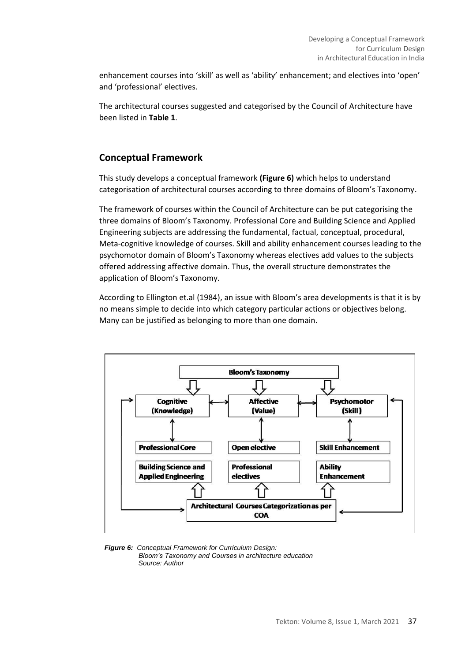enhancement courses into 'skill' as well as 'ability' enhancement; and electives into 'open' and 'professional' electives.

The architectural courses suggested and categorised by the Council of Architecture have been listed in **Table 1**.

# **Conceptual Framework**

This study develops a conceptual framework **(Figure 6)** which helps to understand categorisation of architectural courses according to three domains of Bloom's Taxonomy.

The framework of courses within the Council of Architecture can be put categorising the three domains of Bloom's Taxonomy. Professional Core and Building Science and Applied Engineering subjects are addressing the fundamental, factual, conceptual, procedural, Meta-cognitive knowledge of courses. Skill and ability enhancement courses leading to the psychomotor domain of Bloom's Taxonomy whereas electives add values to the subjects offered addressing affective domain. Thus, the overall structure demonstrates the application of Bloom's Taxonomy.

According to Ellington et.al (1984), an issue with Bloom's area developments is that it is by no means simple to decide into which category particular actions or objectives belong. Many can be justified as belonging to more than one domain.



*Figure 6: Conceptual Framework for Curriculum Design: Bloom's Taxonomy and Courses in architecture education Source: Author*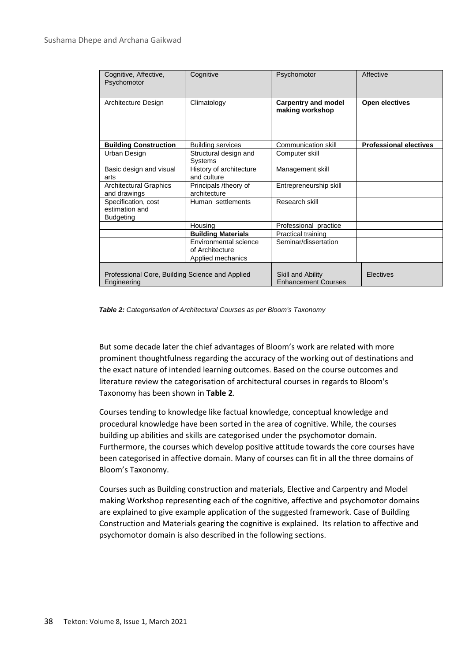| Cognitive, Affective,<br>Psychomotor                           | Cognitive                                | Psychomotor                                     | Affective                     |
|----------------------------------------------------------------|------------------------------------------|-------------------------------------------------|-------------------------------|
| Architecture Design                                            | Climatology                              | <b>Carpentry and model</b><br>making workshop   | Open electives                |
| <b>Building Construction</b>                                   | <b>Building services</b>                 | Communication skill                             | <b>Professional electives</b> |
| Urban Design                                                   | Structural design and<br>Systems         | Computer skill                                  |                               |
| Basic design and visual<br>arts                                | History of architecture<br>and culture   | Management skill                                |                               |
| <b>Architectural Graphics</b><br>and drawings                  | Principals /theory of<br>architecture    | Entrepreneurship skill                          |                               |
| Specification, cost<br>estimation and<br>Budgeting             | Human settlements                        | Research skill                                  |                               |
|                                                                | Housing                                  | Professional practice                           |                               |
|                                                                | <b>Building Materials</b>                | Practical training                              |                               |
|                                                                | Environmental science<br>of Architecture | Seminar/dissertation                            |                               |
|                                                                | Applied mechanics                        |                                                 |                               |
| Professional Core, Building Science and Applied<br>Engineering |                                          | Skill and Ability<br><b>Enhancement Courses</b> | Electives                     |

*Table 2: Categorisation of Architectural Courses as per Bloom's Taxonomy*

But some decade later the chief advantages of Bloom's work are related with more prominent thoughtfulness regarding the accuracy of the working out of destinations and the exact nature of intended learning outcomes. Based on the course outcomes and literature review the categorisation of architectural courses in regards to Bloom's Taxonomy has been shown in **Table 2**.

Courses tending to knowledge like factual knowledge, conceptual knowledge and procedural knowledge have been sorted in the area of cognitive. While, the courses building up abilities and skills are categorised under the psychomotor domain. Furthermore, the courses which develop positive attitude towards the core courses have been categorised in affective domain. Many of courses can fit in all the three domains of Bloom's Taxonomy.

Courses such as Building construction and materials, Elective and Carpentry and Model making Workshop representing each of the cognitive, affective and psychomotor domains are explained to give example application of the suggested framework. Case of Building Construction and Materials gearing the cognitive is explained. Its relation to affective and psychomotor domain is also described in the following sections.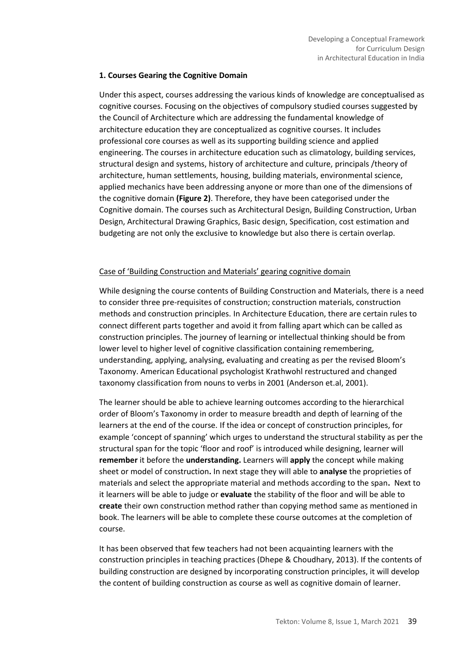#### **1. Courses Gearing the Cognitive Domain**

Under this aspect, courses addressing the various kinds of knowledge are conceptualised as cognitive courses. Focusing on the objectives of compulsory studied courses suggested by the Council of Architecture which are addressing the fundamental knowledge of architecture education they are conceptualized as cognitive courses. It includes professional core courses as well as its supporting building science and applied engineering. The courses in architecture education such as climatology, building services, structural design and systems, history of architecture and culture, principals /theory of architecture, human settlements, housing, building materials, environmental science, applied mechanics have been addressing anyone or more than one of the dimensions of the cognitive domain **(Figure 2)**. Therefore, they have been categorised under the Cognitive domain. The courses such as Architectural Design, Building Construction, Urban Design, Architectural Drawing Graphics, Basic design, Specification, cost estimation and budgeting are not only the exclusive to knowledge but also there is certain overlap.

## Case of 'Building Construction and Materials' gearing cognitive domain

While designing the course contents of Building Construction and Materials, there is a need to consider three pre-requisites of construction; construction materials, construction methods and construction principles. In Architecture Education, there are certain rules to connect different parts together and avoid it from falling apart which can be called as construction principles. The journey of learning or intellectual thinking should be from lower level to higher level of cognitive classification containing remembering, understanding, applying, analysing, evaluating and creating as per the revised Bloom's Taxonomy. American Educational psychologist Krathwohl restructured and changed taxonomy classification from nouns to verbs in 2001 (Anderson et.al, 2001).

The learner should be able to achieve learning outcomes according to the hierarchical order of Bloom's Taxonomy in order to measure breadth and depth of learning of the learners at the end of the course. If the idea or concept of construction principles, for example 'concept of spanning' which urges to understand the structural stability as per the structural span for the topic 'floor and roof' is introduced while designing, learner will **remember** it before the **understanding.** Learners will **apply** the concept while making sheet or model of construction**.** In next stage they will able to **analyse** the proprieties of materials and select the appropriate material and methods according to the span**.** Next to it learners will be able to judge or **evaluate** the stability of the floor and will be able to **create** their own construction method rather than copying method same as mentioned in book. The learners will be able to complete these course outcomes at the completion of course.

It has been observed that few teachers had not been acquainting learners with the construction principles in teaching practices (Dhepe & Choudhary, 2013). If the contents of building construction are designed by incorporating construction principles, it will develop the content of building construction as course as well as cognitive domain of learner.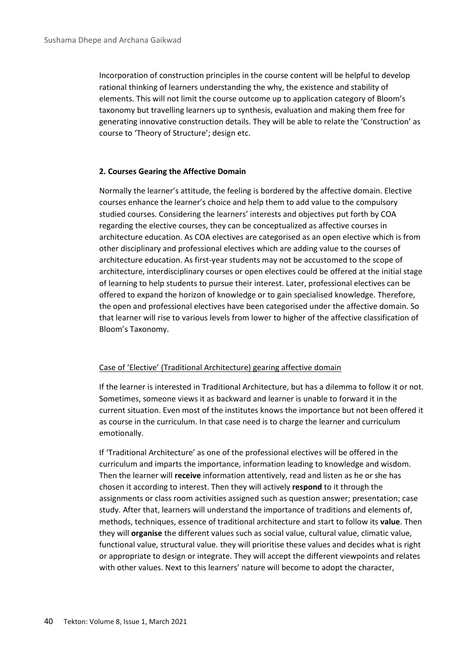Incorporation of construction principles in the course content will be helpful to develop rational thinking of learners understanding the why, the existence and stability of elements. This will not limit the course outcome up to application category of Bloom's taxonomy but travelling learners up to synthesis, evaluation and making them free for generating innovative construction details. They will be able to relate the 'Construction' as course to 'Theory of Structure'; design etc.

#### **2. Courses Gearing the Affective Domain**

Normally the learner's attitude, the feeling is bordered by the affective domain. Elective courses enhance the learner's choice and help them to add value to the compulsory studied courses. Considering the learners' interests and objectives put forth by COA regarding the elective courses, they can be conceptualized as affective courses in architecture education. As COA electives are categorised as an open elective which is from other disciplinary and professional electives which are adding value to the courses of architecture education. As first-year students may not be accustomed to the scope of architecture, interdisciplinary courses or open electives could be offered at the initial stage of learning to help students to pursue their interest. Later, professional electives can be offered to expand the horizon of knowledge or to gain specialised knowledge. Therefore, the open and professional electives have been categorised under the affective domain. So that learner will rise to various levels from lower to higher of the affective classification of Bloom's Taxonomy.

#### Case of 'Elective' (Traditional Architecture) gearing affective domain

If the learner is interested in Traditional Architecture, but has a dilemma to follow it or not. Sometimes, someone views it as backward and learner is unable to forward it in the current situation. Even most of the institutes knows the importance but not been offered it as course in the curriculum. In that case need is to charge the learner and curriculum emotionally.

If 'Traditional Architecture' as one of the professional electives will be offered in the curriculum and imparts the importance, information leading to knowledge and wisdom. Then the learner will **receive** information attentively, read and listen as he or she has chosen it according to interest. Then they will actively **respond** to it through the assignments or class room activities assigned such as question answer; presentation; case study. After that, learners will understand the importance of traditions and elements of, methods, techniques, essence of traditional architecture and start to follow its **value**. Then they will **organise** the different values such as social value, cultural value, climatic value, functional value, structural value. they will prioritise these values and decides what is right or appropriate to design or integrate. They will accept the different viewpoints and relates with other values. Next to this learners' nature will become to adopt the character,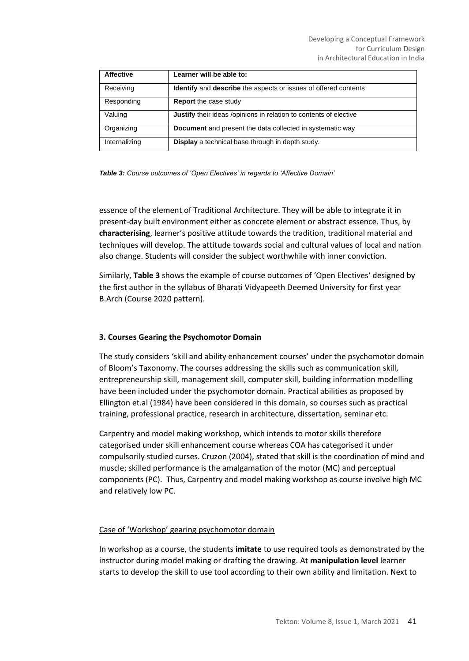| <b>Affective</b> | Learner will be able to:                                                      |
|------------------|-------------------------------------------------------------------------------|
| Receiving        | <b>Identify</b> and <b>describe</b> the aspects or issues of offered contents |
| Responding       | <b>Report</b> the case study                                                  |
| Valuing          | Justify their ideas /opinions in relation to contents of elective             |
| Organizing       | <b>Document</b> and present the data collected in systematic way              |
| Internalizing    | Display a technical base through in depth study.                              |

*Table 3: Course outcomes of 'Open Electives' in regards to 'Affective Domain'*

essence of the element of Traditional Architecture. They will be able to integrate it in present-day built environment either as concrete element or abstract essence. Thus, by **characterising**, learner's positive attitude towards the tradition, traditional material and techniques will develop. The attitude towards social and cultural values of local and nation also change. Students will consider the subject worthwhile with inner conviction.

Similarly, **Table 3** shows the example of course outcomes of 'Open Electives' designed by the first author in the syllabus of Bharati Vidyapeeth Deemed University for first year B.Arch (Course 2020 pattern).

#### **3. Courses Gearing the Psychomotor Domain**

The study considers 'skill and ability enhancement courses' under the psychomotor domain of Bloom's Taxonomy. The courses addressing the skills such as communication skill, entrepreneurship skill, management skill, computer skill, building information modelling have been included under the psychomotor domain. Practical abilities as proposed by Ellington et.al (1984) have been considered in this domain, so courses such as practical training, professional practice, research in architecture, dissertation, seminar etc.

Carpentry and model making workshop, which intends to motor skills therefore categorised under skill enhancement course whereas COA has categorised it under compulsorily studied curses. Cruzon (2004), stated that skill is the coordination of mind and muscle; skilled performance is the amalgamation of the motor (MC) and perceptual components (PC). Thus, Carpentry and model making workshop as course involve high MC and relatively low PC.

#### Case of 'Workshop' gearing psychomotor domain

In workshop as a course, the students **imitate** to use required tools as demonstrated by the instructor during model making or drafting the drawing. At **manipulation level** learner starts to develop the skill to use tool according to their own ability and limitation. Next to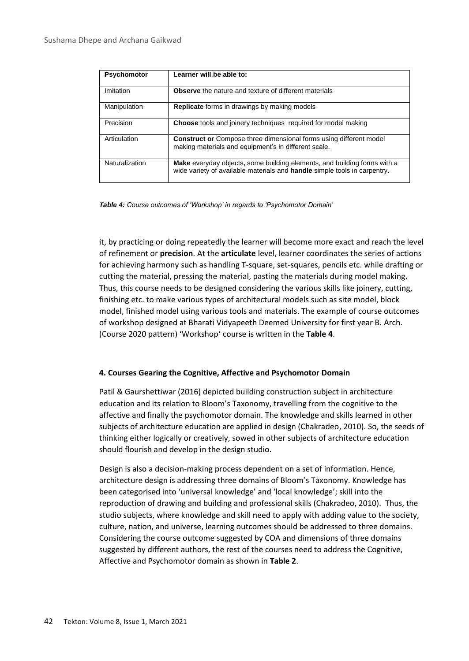| Psychomotor    | Learner will be able to:                                                                                                                                     |
|----------------|--------------------------------------------------------------------------------------------------------------------------------------------------------------|
| Imitation      | <b>Observe</b> the nature and texture of different materials                                                                                                 |
| Manipulation   | <b>Replicate</b> forms in drawings by making models                                                                                                          |
| Precision      | <b>Choose</b> tools and joinery techniques required for model making                                                                                         |
| Articulation   | <b>Construct or Compose three dimensional forms using different model</b><br>making materials and equipment's in different scale.                            |
| Naturalization | <b>Make</b> everyday objects, some building elements, and building forms with a<br>wide variety of available materials and handle simple tools in carpentry. |

*Table 4: Course outcomes of 'Workshop' in regards to 'Psychomotor Domain'*

it, by practicing or doing repeatedly the learner will become more exact and reach the level of refinement or **precision**. At the **articulate** level, learner coordinates the series of actions for achieving harmony such as handling T-square, set-squares, pencils etc. while drafting or cutting the material, pressing the material, pasting the materials during model making. Thus, this course needs to be designed considering the various skills like joinery, cutting, finishing etc. to make various types of architectural models such as site model, block model, finished model using various tools and materials. The example of course outcomes of workshop designed at Bharati Vidyapeeth Deemed University for first year B. Arch. (Course 2020 pattern) 'Workshop' course is written in the **Table 4**.

#### **4. Courses Gearing the Cognitive, Affective and Psychomotor Domain**

Patil & Gaurshettiwar (2016) depicted building construction subject in architecture education and its relation to Bloom's Taxonomy, travelling from the cognitive to the affective and finally the psychomotor domain. The knowledge and skills learned in other subjects of architecture education are applied in design (Chakradeo, 2010). So, the seeds of thinking either logically or creatively, sowed in other subjects of architecture education should flourish and develop in the design studio.

Design is also a decision-making process dependent on a set of information. Hence, architecture design is addressing three domains of Bloom's Taxonomy. Knowledge has been categorised into 'universal knowledge' and 'local knowledge'; skill into the reproduction of drawing and building and professional skills (Chakradeo, 2010). Thus, the studio subjects, where knowledge and skill need to apply with adding value to the society, culture, nation, and universe, learning outcomes should be addressed to three domains. Considering the course outcome suggested by COA and dimensions of three domains suggested by different authors, the rest of the courses need to address the Cognitive, Affective and Psychomotor domain as shown in **Table 2**.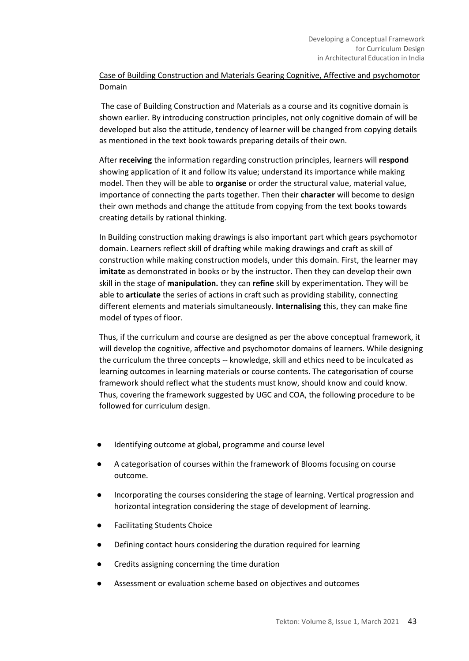# Case of Building Construction and Materials Gearing Cognitive, Affective and psychomotor Domain

The case of Building Construction and Materials as a course and its cognitive domain is shown earlier. By introducing construction principles, not only cognitive domain of will be developed but also the attitude, tendency of learner will be changed from copying details as mentioned in the text book towards preparing details of their own.

After **receiving** the information regarding construction principles, learners will **respond**  showing application of it and follow its value; understand its importance while making model. Then they will be able to **organise** or order the structural value, material value, importance of connecting the parts together. Then their **character** will become to design their own methods and change the attitude from copying from the text books towards creating details by rational thinking.

In Building construction making drawings is also important part which gears psychomotor domain. Learners reflect skill of drafting while making drawings and craft as skill of construction while making construction models, under this domain. First, the learner may **imitate** as demonstrated in books or by the instructor. Then they can develop their own skill in the stage of **manipulation.** they can **refine** skill by experimentation. They will be able to **articulate** the series of actions in craft such as providing stability, connecting different elements and materials simultaneously. **Internalising** this, they can make fine model of types of floor.

Thus, if the curriculum and course are designed as per the above conceptual framework, it will develop the cognitive, affective and psychomotor domains of learners. While designing the curriculum the three concepts -- knowledge, skill and ethics need to be inculcated as learning outcomes in learning materials or course contents. The categorisation of course framework should reflect what the students must know, should know and could know. Thus, covering the framework suggested by UGC and COA, the following procedure to be followed for curriculum design.

- Identifying outcome at global, programme and course level
- A categorisation of courses within the framework of Blooms focusing on course outcome.
- Incorporating the courses considering the stage of learning. Vertical progression and horizontal integration considering the stage of development of learning.
- Facilitating Students Choice
- Defining contact hours considering the duration required for learning
- Credits assigning concerning the time duration
- Assessment or evaluation scheme based on objectives and outcomes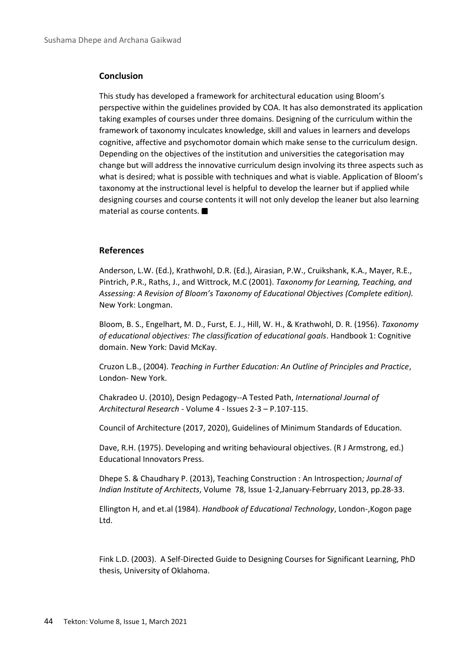#### **Conclusion**

This study has developed a framework for architectural education using Bloom's perspective within the guidelines provided by COA. It has also demonstrated its application taking examples of courses under three domains. Designing of the curriculum within the framework of taxonomy inculcates knowledge, skill and values in learners and develops cognitive, affective and psychomotor domain which make sense to the curriculum design. Depending on the objectives of the institution and universities the categorisation may change but will address the innovative curriculum design involving its three aspects such as what is desired; what is possible with techniques and what is viable. Application of Bloom's taxonomy at the instructional level is helpful to develop the learner but if applied while designing courses and course contents it will not only develop the leaner but also learning material as course contents.

#### **References**

Anderson, L.W. (Ed.), Krathwohl, D.R. (Ed.), Airasian, P.W., Cruikshank, K.A., Mayer, R.E., Pintrich, P.R., Raths, J., and Wittrock, M.C (2001). *Taxonomy for Learning, Teaching, and Assessing: A Revision of Bloom's Taxonomy of Educational Objectives (Complete edition).*  New York: Longman.

Bloom, B. S., Engelhart, M. D., Furst, E. J., Hill, W. H., & Krathwohl, D. R. (1956). *Taxonomy of educational objectives: The classification of educational goals*. Handbook 1: Cognitive domain. New York: David McKay.

Cruzon L.B., (2004). *Teaching in Further Education: An Outline of Principles and Practice*, London- New York.

Chakradeo U. (2010), Design Pedagogy--A Tested Path, *International Journal of Architectural Research* - Volume 4 - Issues 2-3 – P.107-115.

Council of Architecture (2017, 2020), Guidelines of Minimum Standards of Education.

Dave, R.H. (1975). Developing and writing behavioural objectives. (R J Armstrong, ed.) Educational Innovators Press.

Dhepe S. & Chaudhary P. (2013), Teaching Construction : An Introspection*; Journal of Indian Institute of Architects*, Volume 78, Issue 1-2,January-Febrruary 2013, pp.28-33.

Ellington H, and et.al (1984). *Handbook of Educational Technology*, London-,Kogon page Ltd.

Fink L.D. (2003). A Self-Directed Guide to Designing Courses for Significant Learning, PhD thesis, University of Oklahoma.